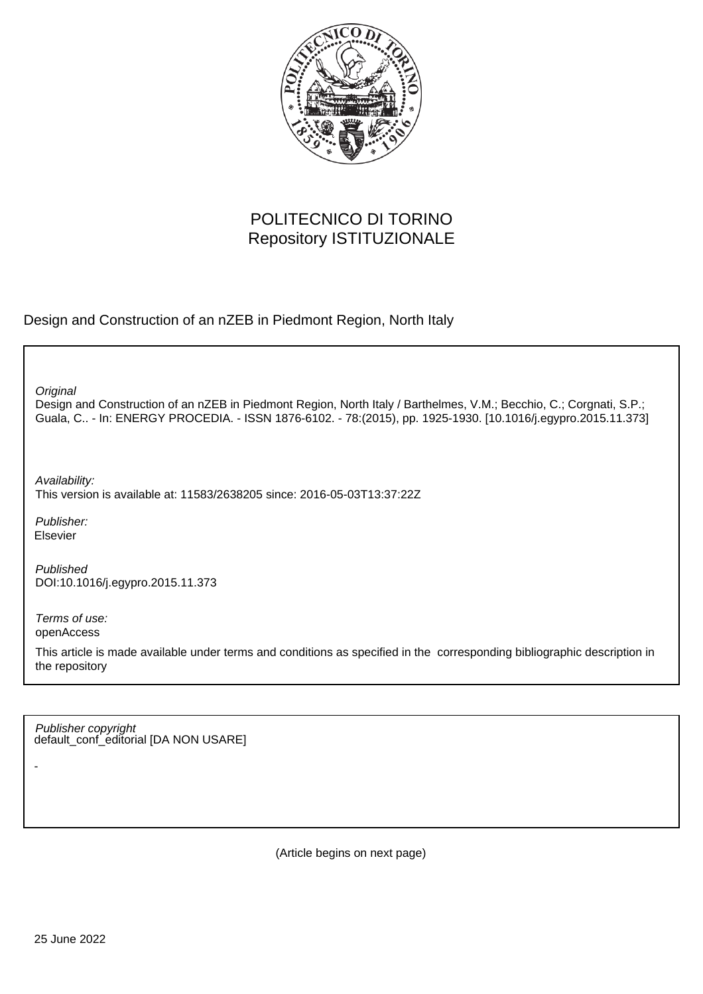

# POLITECNICO DI TORINO Repository ISTITUZIONALE

Design and Construction of an nZEB in Piedmont Region, North Italy

**Original** 

Design and Construction of an nZEB in Piedmont Region, North Italy / Barthelmes, V.M.; Becchio, C.; Corgnati, S.P.; Guala, C.. - In: ENERGY PROCEDIA. - ISSN 1876-6102. - 78:(2015), pp. 1925-1930. [10.1016/j.egypro.2015.11.373]

Availability: This version is available at: 11583/2638205 since: 2016-05-03T13:37:22Z

Publisher: Elsevier

Published DOI:10.1016/j.egypro.2015.11.373

Terms of use: openAccess

-

This article is made available under terms and conditions as specified in the corresponding bibliographic description in the repository

default\_conf\_editorial [DA NON USARE] Publisher copyright

(Article begins on next page)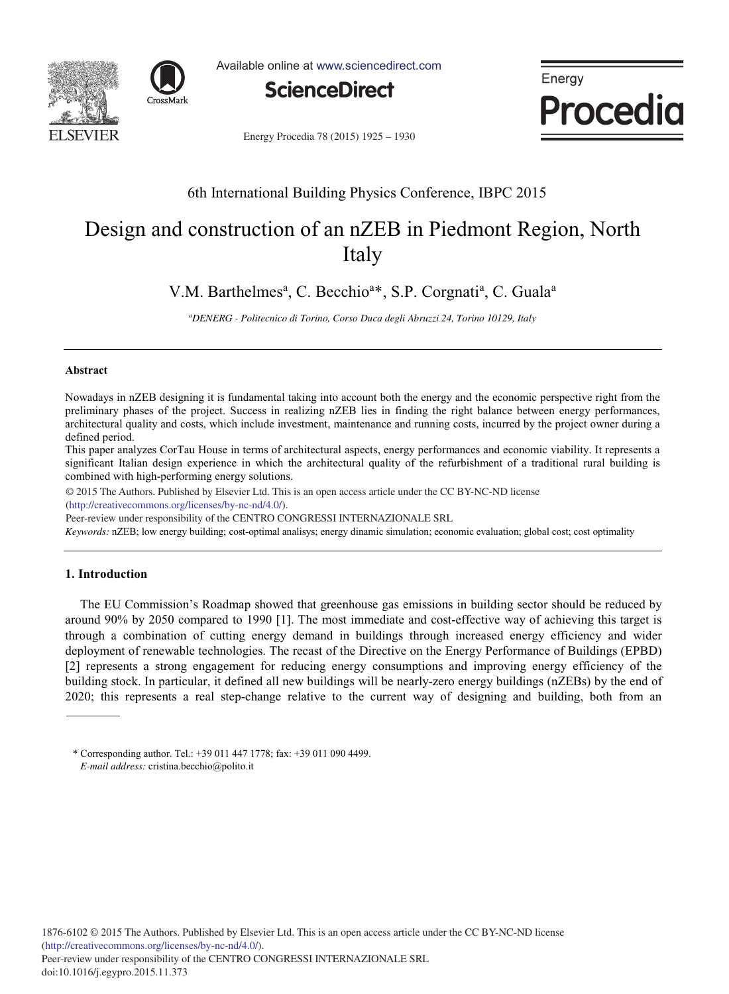



Available online at www.sciencedirect.com



Energy Procedia

Energy Procedia 78 (2015) 1925 - 1930

# 6th International Building Physics Conference, IBPC 2015

# Design and construction of an nZEB in Piedmont Region, North Italy

V.M. Barthelmes<sup>a</sup>, C. Becchio<sup>a\*</sup>, S.P. Corgnati<sup>a</sup>, C. Guala<sup>a</sup>

*a DENERG - Politecnico di Torino, Corso Duca degli Abruzzi 24, Torino 10129, Italy* 

### **Abstract**

Nowadays in nZEB designing it is fundamental taking into account both the energy and the economic perspective right from the preliminary phases of the project. Success in realizing nZEB lies in finding the right balance between energy performances, architectural quality and costs, which include investment, maintenance and running costs, incurred by the project owner during a defined period.

This paper analyzes CorTau House in terms of architectural aspects, energy performances and economic viability. It represents a significant Italian design experience in which the architectural quality of the refurbishment of a traditional rural building is combined with high-performing energy solutions.

© 2015 The Authors. Published by Elsevier Ltd. © 2015 The Authors. Published by Elsevier Ltd. This is an open access article under the CC BY-NC-ND license (http://creativecommons.org/licenses/by-nc-nd/4.0/).

Peer-review under responsibility of the CENTRO CONGRESSI INTERNAZIONALE SRL

*Keywords:* nZEB; low energy building; cost-optimal analisys; energy dinamic simulation; economic evaluation; global cost; cost optimality

# **1. Introduction**

The EU Commission's Roadmap showed that greenhouse gas emissions in building sector should be reduced by around 90% by 2050 compared to 1990 [1]. The most immediate and cost-effective way of achieving this target is through a combination of cutting energy demand in buildings through increased energy efficiency and wider deployment of renewable technologies. The recast of the Directive on the Energy Performance of Buildings (EPBD) [2] represents a strong engagement for reducing energy consumptions and improving energy efficiency of the building stock. In particular, it defined all new buildings will be nearly-zero energy buildings (nZEBs) by the end of 2020; this represents a real step-change relative to the current way of designing and building, both from an

<sup>\*</sup> Corresponding author. Tel.: +39 011 447 1778; fax: +39 011 090 4499. *E-mail address:* cristina.becchio@polito.it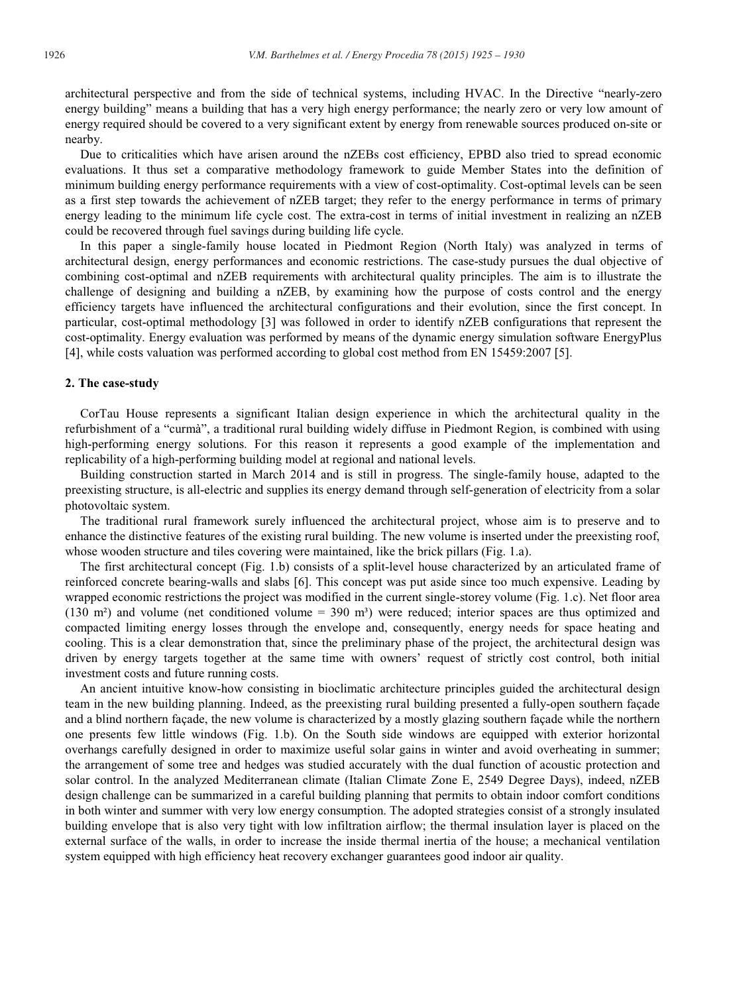architectural perspective and from the side of technical systems, including HVAC. In the Directive "nearly-zero energy building" means a building that has a very high energy performance; the nearly zero or very low amount of energy required should be covered to a very significant extent by energy from renewable sources produced on-site or nearby.

Due to criticalities which have arisen around the nZEBs cost efficiency, EPBD also tried to spread economic evaluations. It thus set a comparative methodology framework to guide Member States into the definition of minimum building energy performance requirements with a view of cost-optimality. Cost-optimal levels can be seen as a first step towards the achievement of nZEB target; they refer to the energy performance in terms of primary energy leading to the minimum life cycle cost. The extra-cost in terms of initial investment in realizing an nZEB could be recovered through fuel savings during building life cycle.

In this paper a single-family house located in Piedmont Region (North Italy) was analyzed in terms of architectural design, energy performances and economic restrictions. The case-study pursues the dual objective of combining cost-optimal and nZEB requirements with architectural quality principles. The aim is to illustrate the challenge of designing and building a nZEB, by examining how the purpose of costs control and the energy efficiency targets have influenced the architectural configurations and their evolution, since the first concept. In particular, cost-optimal methodology [3] was followed in order to identify nZEB configurations that represent the cost-optimality. Energy evaluation was performed by means of the dynamic energy simulation software EnergyPlus [4], while costs valuation was performed according to global cost method from EN 15459:2007 [5].

#### **2. The case-study**

CorTau House represents a significant Italian design experience in which the architectural quality in the refurbishment of a "curmà", a traditional rural building widely diffuse in Piedmont Region, is combined with using high-performing energy solutions. For this reason it represents a good example of the implementation and replicability of a high-performing building model at regional and national levels.

Building construction started in March 2014 and is still in progress. The single-family house, adapted to the preexisting structure, is all-electric and supplies its energy demand through self-generation of electricity from a solar photovoltaic system.

The traditional rural framework surely influenced the architectural project, whose aim is to preserve and to enhance the distinctive features of the existing rural building. The new volume is inserted under the preexisting roof, whose wooden structure and tiles covering were maintained, like the brick pillars (Fig. 1.a).

The first architectural concept (Fig. 1.b) consists of a split-level house characterized by an articulated frame of reinforced concrete bearing-walls and slabs [6]. This concept was put aside since too much expensive. Leading by wrapped economic restrictions the project was modified in the current single-storey volume (Fig. 1.c). Net floor area (130 m<sup>2</sup>) and volume (net conditioned volume =  $390 \text{ m}^3$ ) were reduced; interior spaces are thus optimized and compacted limiting energy losses through the envelope and, consequently, energy needs for space heating and cooling. This is a clear demonstration that, since the preliminary phase of the project, the architectural design was driven by energy targets together at the same time with owners' request of strictly cost control, both initial investment costs and future running costs.

An ancient intuitive know-how consisting in bioclimatic architecture principles guided the architectural design team in the new building planning. Indeed, as the preexisting rural building presented a fully-open southern façade and a blind northern façade, the new volume is characterized by a mostly glazing southern façade while the northern one presents few little windows (Fig. 1.b). On the South side windows are equipped with exterior horizontal overhangs carefully designed in order to maximize useful solar gains in winter and avoid overheating in summer; the arrangement of some tree and hedges was studied accurately with the dual function of acoustic protection and solar control. In the analyzed Mediterranean climate (Italian Climate Zone E, 2549 Degree Days), indeed, nZEB design challenge can be summarized in a careful building planning that permits to obtain indoor comfort conditions in both winter and summer with very low energy consumption. The adopted strategies consist of a strongly insulated building envelope that is also very tight with low infiltration airflow; the thermal insulation layer is placed on the external surface of the walls, in order to increase the inside thermal inertia of the house; a mechanical ventilation system equipped with high efficiency heat recovery exchanger guarantees good indoor air quality.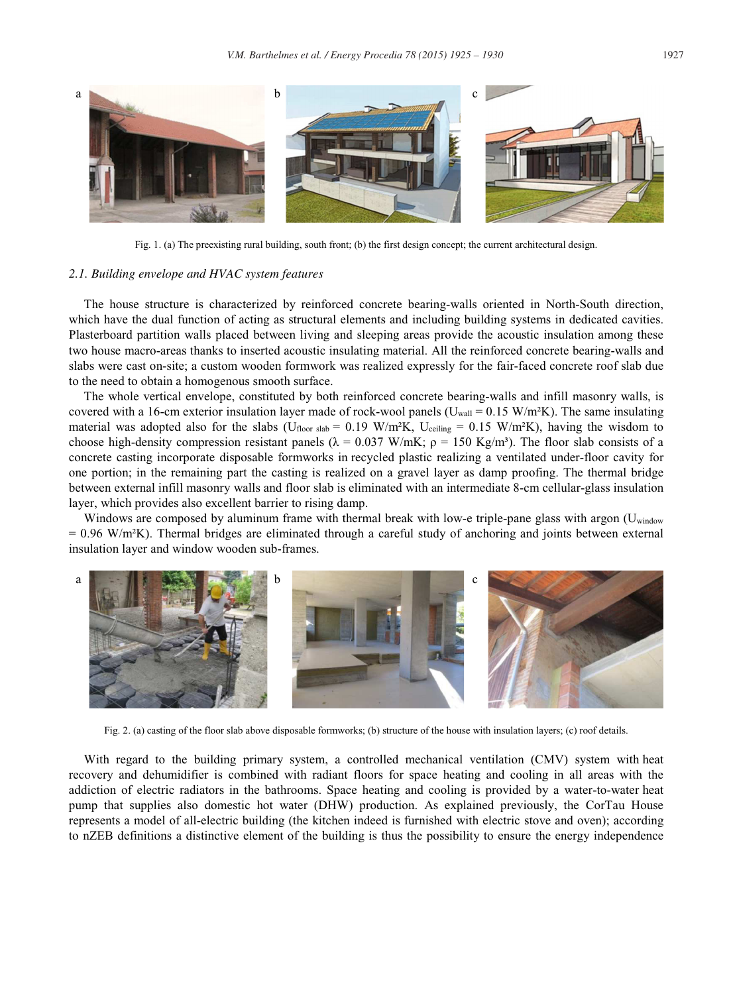

Fig. 1. (a) The preexisting rural building, south front; (b) the first design concept; the current architectural design.

#### *2.1. Building envelope and HVAC system features*

The house structure is characterized by reinforced concrete bearing-walls oriented in North-South direction, which have the dual function of acting as structural elements and including building systems in dedicated cavities. Plasterboard partition walls placed between living and sleeping areas provide the acoustic insulation among these two house macro-areas thanks to inserted acoustic insulating material. All the reinforced concrete bearing-walls and slabs were cast on-site; a custom wooden formwork was realized expressly for the fair-faced concrete roof slab due to the need to obtain a homogenous smooth surface.

The whole vertical envelope, constituted by both reinforced concrete bearing-walls and infill masonry walls, is covered with a 16-cm exterior insulation layer made of rock-wool panels ( $U_{wall} = 0.15$  W/m<sup>2</sup>K). The same insulating material was adopted also for the slabs ( $U_{floor}$  slab = 0.19 W/m<sup>2</sup>K,  $U_{celling}$  = 0.15 W/m<sup>2</sup>K), having the wisdom to choose high-density compression resistant panels ( $\lambda = 0.037$  W/mK;  $\rho = 150$  Kg/m<sup>3</sup>). The floor slab consists of a concrete casting incorporate disposable formworks in recycled plastic realizing a ventilated under-floor cavity for one portion; in the remaining part the casting is realized on a gravel layer as damp proofing. The thermal bridge between external infill masonry walls and floor slab is eliminated with an intermediate 8-cm cellular-glass insulation layer, which provides also excellent barrier to rising damp.

Windows are composed by aluminum frame with thermal break with low-e triple-pane glass with argon (U<sub>window</sub>)  $= 0.96$  W/m<sup>2</sup>K). Thermal bridges are eliminated through a careful study of anchoring and joints between external insulation layer and window wooden sub-frames.



Fig. 2. (a) casting of the floor slab above disposable formworks; (b) structure of the house with insulation layers; (c) roof details.

With regard to the building primary system, a controlled mechanical ventilation (CMV) system with heat recovery and dehumidifier is combined with radiant floors for space heating and cooling in all areas with the addiction of electric radiators in the bathrooms. Space heating and cooling is provided by a water-to-water heat pump that supplies also domestic hot water (DHW) production. As explained previously, the CorTau House represents a model of all-electric building (the kitchen indeed is furnished with electric stove and oven); according to nZEB definitions a distinctive element of the building is thus the possibility to ensure the energy independence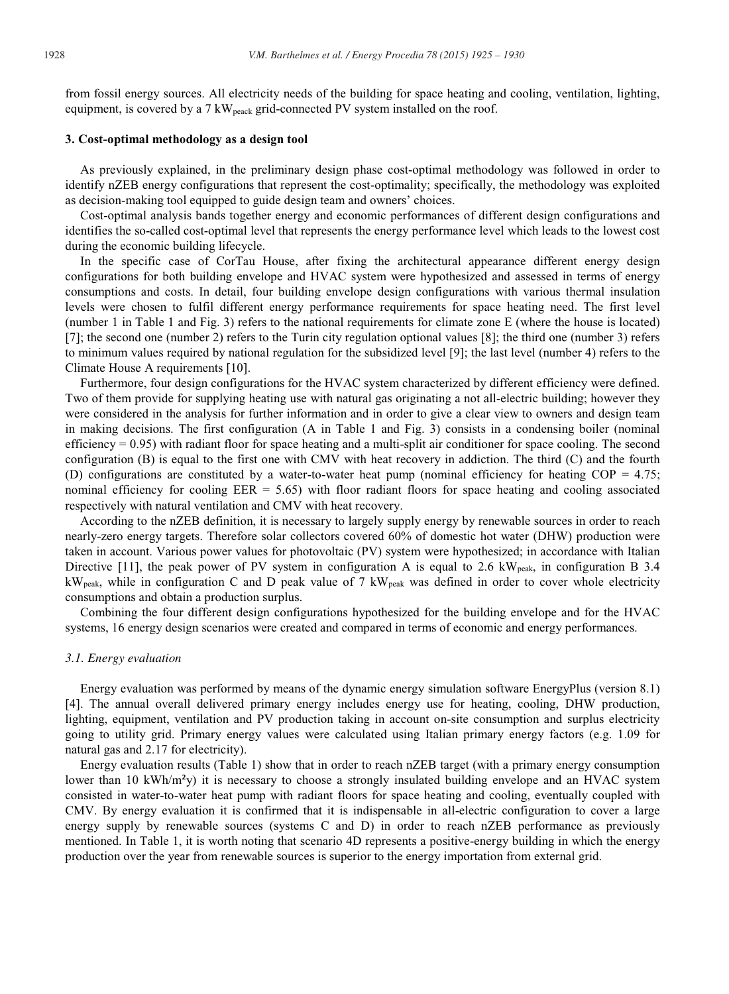from fossil energy sources. All electricity needs of the building for space heating and cooling, ventilation, lighting, equipment, is covered by a 7 kW<sub>peack</sub> grid-connected PV system installed on the roof.

## **3. Cost-optimal methodology as a design tool**

As previously explained, in the preliminary design phase cost-optimal methodology was followed in order to identify nZEB energy configurations that represent the cost-optimality; specifically, the methodology was exploited as decision-making tool equipped to guide design team and owners' choices.

Cost-optimal analysis bands together energy and economic performances of different design configurations and identifies the so-called cost-optimal level that represents the energy performance level which leads to the lowest cost during the economic building lifecycle.

In the specific case of CorTau House, after fixing the architectural appearance different energy design configurations for both building envelope and HVAC system were hypothesized and assessed in terms of energy consumptions and costs. In detail, four building envelope design configurations with various thermal insulation levels were chosen to fulfil different energy performance requirements for space heating need. The first level (number 1 in Table 1 and Fig. 3) refers to the national requirements for climate zone E (where the house is located) [7]; the second one (number 2) refers to the Turin city regulation optional values [8]; the third one (number 3) refers to minimum values required by national regulation for the subsidized level [9]; the last level (number 4) refers to the Climate House A requirements [10].

Furthermore, four design configurations for the HVAC system characterized by different efficiency were defined. Two of them provide for supplying heating use with natural gas originating a not all-electric building; however they were considered in the analysis for further information and in order to give a clear view to owners and design team in making decisions. The first configuration (A in Table 1 and Fig. 3) consists in a condensing boiler (nominal efficiency  $= 0.95$ ) with radiant floor for space heating and a multi-split air conditioner for space cooling. The second configuration (B) is equal to the first one with CMV with heat recovery in addiction. The third (C) and the fourth (D) configurations are constituted by a water-to-water heat pump (nominal efficiency for heating COP =  $4.75$ ; nominal efficiency for cooling EER = 5.65) with floor radiant floors for space heating and cooling associated respectively with natural ventilation and CMV with heat recovery.

According to the nZEB definition, it is necessary to largely supply energy by renewable sources in order to reach nearly-zero energy targets. Therefore solar collectors covered 60% of domestic hot water (DHW) production were taken in account. Various power values for photovoltaic (PV) system were hypothesized; in accordance with Italian Directive [11], the peak power of PV system in configuration A is equal to 2.6  $kW_{peak}$ , in configuration B 3.4 kWpeak, while in configuration C and D peak value of 7 kWpeak was defined in order to cover whole electricity consumptions and obtain a production surplus.

Combining the four different design configurations hypothesized for the building envelope and for the HVAC systems, 16 energy design scenarios were created and compared in terms of economic and energy performances.

#### *3.1. Energy evaluation*

Energy evaluation was performed by means of the dynamic energy simulation software EnergyPlus (version 8.1) [4]. The annual overall delivered primary energy includes energy use for heating, cooling, DHW production, lighting, equipment, ventilation and PV production taking in account on-site consumption and surplus electricity going to utility grid. Primary energy values were calculated using Italian primary energy factors (e.g. 1.09 for natural gas and 2.17 for electricity).

Energy evaluation results (Table 1) show that in order to reach nZEB target (with a primary energy consumption lower than 10 kWh/m<sup>2</sup>y) it is necessary to choose a strongly insulated building envelope and an HVAC system consisted in water-to-water heat pump with radiant floors for space heating and cooling, eventually coupled with CMV. By energy evaluation it is confirmed that it is indispensable in all-electric configuration to cover a large energy supply by renewable sources (systems C and D) in order to reach nZEB performance as previously mentioned. In Table 1, it is worth noting that scenario 4D represents a positive-energy building in which the energy production over the year from renewable sources is superior to the energy importation from external grid.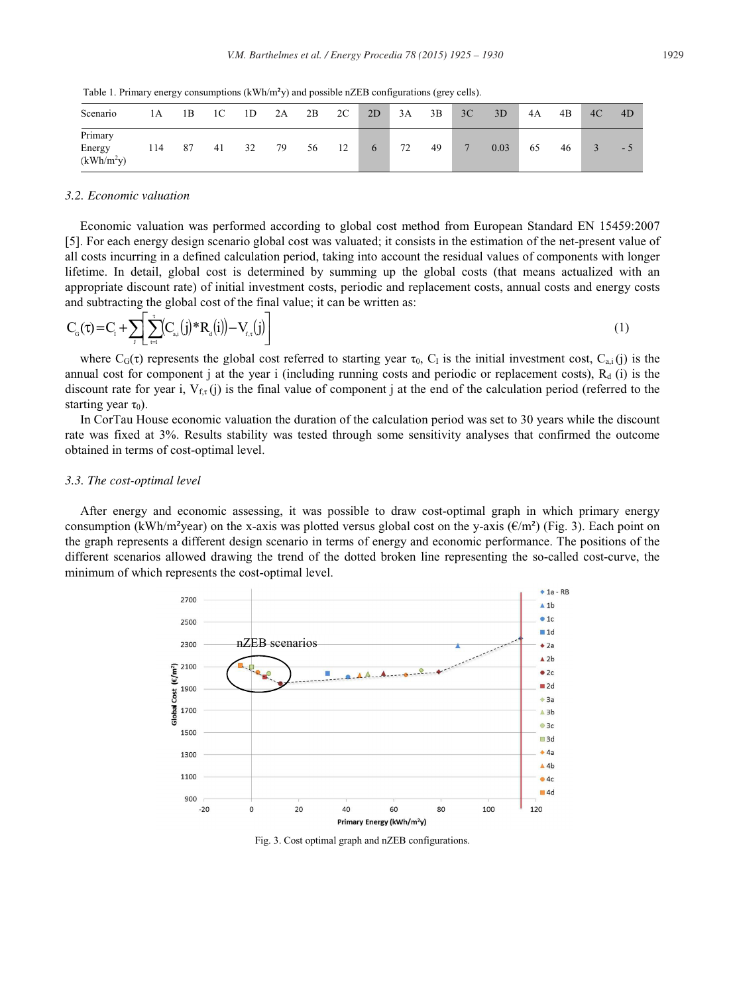Table 1. Primary energy consumptions  $(kWh/m<sup>2</sup>y)$  and possible nZEB configurations (grey cells).

| Scenario                          | 1А  | 1B | 1C | 1D | 2A | 2B | 2C | 2D | 3A | 3B | 3C           | 3D   | 4A | 4B | 4C | 4D   |
|-----------------------------------|-----|----|----|----|----|----|----|----|----|----|--------------|------|----|----|----|------|
| Primary<br>Energy<br>$(kWh/m^2y)$ | 114 | 87 | 41 | 32 | 79 | 56 | 12 | 6  | 72 | 49 | $\mathbf{r}$ | 0.03 | 65 | 46 |    | $-5$ |

## *3.2. Economic valuation*

Economic valuation was performed according to global cost method from European Standard EN 15459:2007 [5]. For each energy design scenario global cost was valuated; it consists in the estimation of the net-present value of all costs incurring in a defined calculation period, taking into account the residual values of components with longer lifetime. In detail, global cost is determined by summing up the global costs (that means actualized with an appropriate discount rate) of initial investment costs, periodic and replacement costs, annual costs and energy costs and subtracting the global cost of the final value; it can be written as:

$$
C_{\alpha}(\tau) = C_{i} + \sum_{j} \left[ \sum_{t=1}^{r} (C_{\alpha_{i}}(j) * R_{\alpha}(i)) - V_{r,\tau}(j) \right]
$$
\n(1)

where  $C_G(\tau)$  represents the global cost referred to starting year  $\tau_0$ ,  $C_1$  is the initial investment cost,  $C_{a,i}(j)$  is the annual cost for component j at the year i (including running costs and periodic or replacement costs),  $R_d$  (i) is the discount rate for year i,  $V_{f,\tau}(j)$  is the final value of component j at the end of the calculation period (referred to the starting year  $\tau_0$ ).

In CorTau House economic valuation the duration of the calculation period was set to 30 years while the discount rate was fixed at 3%. Results stability was tested through some sensitivity analyses that confirmed the outcome obtained in terms of cost-optimal level.

#### *3.3. The cost-optimal level*

After energy and economic assessing, it was possible to draw cost-optimal graph in which primary energy consumption (kWh/m<sup>2</sup>year) on the x-axis was plotted versus global cost on the y-axis ( $\epsilon/m^2$ ) (Fig. 3). Each point on the graph represents a different design scenario in terms of energy and economic performance. The positions of the different scenarios allowed drawing the trend of the dotted broken line representing the so-called cost-curve, the minimum of which represents the cost-optimal level.



Fig. 3. Cost optimal graph and nZEB configurations.